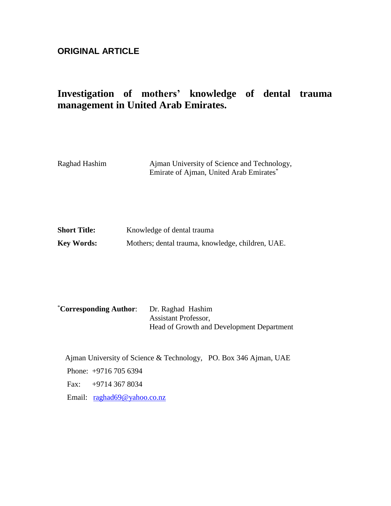# **ORIGINAL ARTICLE**

# **Investigation of mothers' knowledge of dental trauma management in United Arab Emirates.**

| Raghad Hashim | Ajman University of Science and Technology,         |
|---------------|-----------------------------------------------------|
|               | Emirate of Ajman, United Arab Emirates <sup>*</sup> |

| <b>Short Title:</b> | Knowledge of dental trauma                        |
|---------------------|---------------------------------------------------|
| <b>Key Words:</b>   | Mothers; dental trauma, knowledge, children, UAE. |

| <i><b>*Corresponding Author:</b></i> | Dr. Raghad Hashim                         |
|--------------------------------------|-------------------------------------------|
|                                      | <b>Assistant Professor,</b>               |
|                                      | Head of Growth and Development Department |

Ajman University of Science & Technology, PO. Box 346 Ajman, UAE Phone: +9716 705 6394 Fax: +9714 367 8034 Email: [raghad69@yahoo.co.nz](mailto:raghad69@yahoo.co.nz)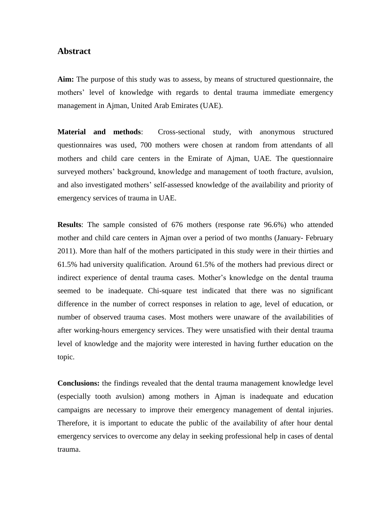#### **Abstract**

**Aim:** The purpose of this study was to assess, by means of structured questionnaire, the mothers' level of knowledge with regards to dental trauma immediate emergency management in Ajman, United Arab Emirates (UAE).

**Material and methods**: Cross-sectional study, with anonymous structured questionnaires was used, 700 mothers were chosen at random from attendants of all mothers and child care centers in the Emirate of Ajman, UAE. The questionnaire surveyed mothers' background, knowledge and management of tooth fracture, avulsion, and also investigated mothers' self-assessed knowledge of the availability and priority of emergency services of trauma in UAE.

**Results**: The sample consisted of 676 mothers (response rate 96.6%) who attended mother and child care centers in Ajman over a period of two months (January- February 2011). More than half of the mothers participated in this study were in their thirties and 61.5% had university qualification. Around 61.5% of the mothers had previous direct or indirect experience of dental trauma cases. Mother's knowledge on the dental trauma seemed to be inadequate. Chi-square test indicated that there was no significant difference in the number of correct responses in relation to age, level of education, or number of observed trauma cases. Most mothers were unaware of the availabilities of after working-hours emergency services. They were unsatisfied with their dental trauma level of knowledge and the majority were interested in having further education on the topic.

**Conclusions:** the findings revealed that the dental trauma management knowledge level (especially tooth avulsion) among mothers in Ajman is inadequate and education campaigns are necessary to improve their emergency management of dental injuries. Therefore, it is important to educate the public of the availability of after hour dental emergency services to overcome any delay in seeking professional help in cases of dental trauma.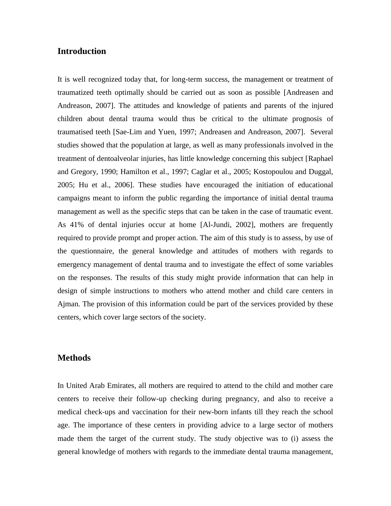# **Introduction**

It is well recognized today that, for long-term success, the management or treatment of traumatized teeth optimally should be carried out as soon as possible [Andreasen and Andreason, 2007]. The attitudes and knowledge of patients and parents of the injured children about dental trauma would thus be critical to the ultimate prognosis of traumatised teeth [Sae-Lim and Yuen, 1997; Andreasen and Andreason, 2007]. Several studies showed that the population at large, as well as many professionals involved in the treatment of dentoalveolar injuries, has little knowledge concerning this subject [Raphael and Gregory, 1990; Hamilton et al., 1997; Caglar et al., 2005; Kostopoulou and Duggal, 2005; Hu et al., 2006]. These studies have encouraged the initiation of educational campaigns meant to inform the public regarding the importance of initial dental trauma management as well as the specific steps that can be taken in the case of traumatic event. As 41% of dental injuries occur at home [Al-Jundi, 2002], mothers are frequently required to provide prompt and proper action. The aim of this study is to assess, by use of the questionnaire, the general knowledge and attitudes of mothers with regards to emergency management of dental trauma and to investigate the effect of some variables on the responses. The results of this study might provide information that can help in design of simple instructions to mothers who attend mother and child care centers in Ajman. The provision of this information could be part of the services provided by these centers, which cover large sectors of the society.

#### **Methods**

In United Arab Emirates, all mothers are required to attend to the child and mother care centers to receive their follow-up checking during pregnancy, and also to receive a medical check-ups and vaccination for their new-born infants till they reach the school age. The importance of these centers in providing advice to a large sector of mothers made them the target of the current study. The study objective was to (i) assess the general knowledge of mothers with regards to the immediate dental trauma management,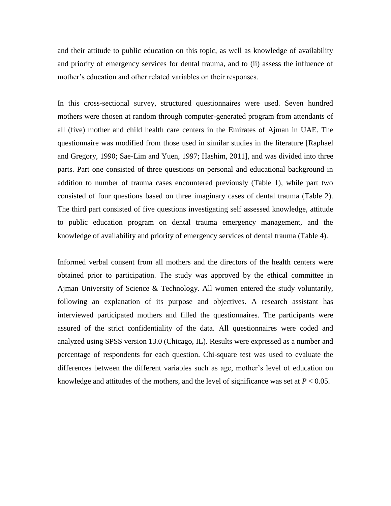and their attitude to public education on this topic, as well as knowledge of availability and priority of emergency services for dental trauma, and to (ii) assess the influence of mother's education and other related variables on their responses.

In this cross-sectional survey, structured questionnaires were used. Seven hundred mothers were chosen at random through computer-generated program from attendants of all (five) mother and child health care centers in the Emirates of Ajman in UAE. The questionnaire was modified from those used in similar studies in the literature [Raphael and Gregory, 1990; Sae-Lim and Yuen, 1997; Hashim, 2011], and was divided into three parts. Part one consisted of three questions on personal and educational background in addition to number of trauma cases encountered previously (Table 1), while part two consisted of four questions based on three imaginary cases of dental trauma (Table 2). The third part consisted of five questions investigating self assessed knowledge, attitude to public education program on dental trauma emergency management, and the knowledge of availability and priority of emergency services of dental trauma (Table 4).

Informed verbal consent from all mothers and the directors of the health centers were obtained prior to participation. The study was approved by the ethical committee in Ajman University of Science & Technology. All women entered the study voluntarily, following an explanation of its purpose and objectives. A research assistant has interviewed participated mothers and filled the questionnaires. The participants were assured of the strict confidentiality of the data. All questionnaires were coded and analyzed using SPSS version 13.0 (Chicago, IL). Results were expressed as a number and percentage of respondents for each question. Chi-square test was used to evaluate the differences between the different variables such as age, mother's level of education on knowledge and attitudes of the mothers, and the level of significance was set at  $P < 0.05$ .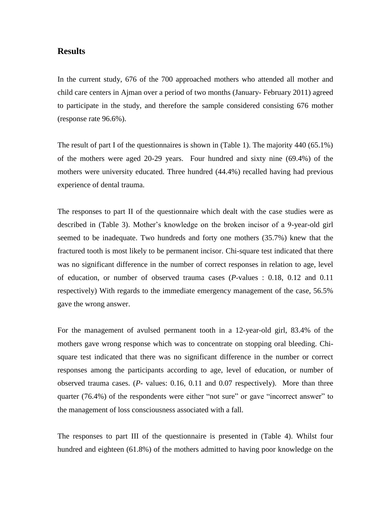### **Results**

In the current study, 676 of the 700 approached mothers who attended all mother and child care centers in Ajman over a period of two months (January- February 2011) agreed to participate in the study, and therefore the sample considered consisting 676 mother (response rate 96.6%).

The result of part I of the questionnaires is shown in (Table 1). The majority 440 (65.1%) of the mothers were aged 20-29 years. Four hundred and sixty nine (69.4%) of the mothers were university educated. Three hundred (44.4%) recalled having had previous experience of dental trauma.

The responses to part II of the questionnaire which dealt with the case studies were as described in (Table 3). Mother's knowledge on the broken incisor of a 9-year-old girl seemed to be inadequate. Two hundreds and forty one mothers (35.7%) knew that the fractured tooth is most likely to be permanent incisor. Chi-square test indicated that there was no significant difference in the number of correct responses in relation to age, level of education, or number of observed trauma cases (*P*-values : 0.18, 0.12 and 0.11 respectively) With regards to the immediate emergency management of the case, 56.5% gave the wrong answer.

For the management of avulsed permanent tooth in a 12-year-old girl, 83.4% of the mothers gave wrong response which was to concentrate on stopping oral bleeding. Chisquare test indicated that there was no significant difference in the number or correct responses among the participants according to age, level of education, or number of observed trauma cases. (*P*- values: 0.16, 0.11 and 0.07 respectively). More than three quarter (76.4%) of the respondents were either "not sure" or gave "incorrect answer" to the management of loss consciousness associated with a fall.

The responses to part III of the questionnaire is presented in (Table 4). Whilst four hundred and eighteen (61.8%) of the mothers admitted to having poor knowledge on the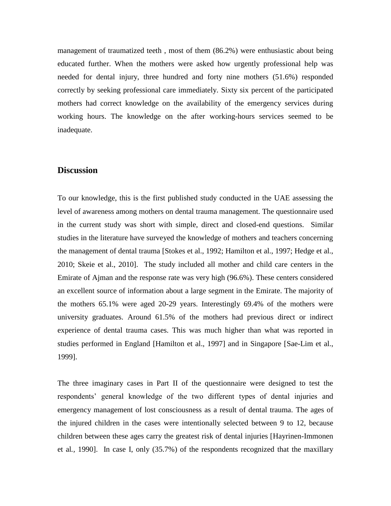management of traumatized teeth , most of them (86.2%) were enthusiastic about being educated further. When the mothers were asked how urgently professional help was needed for dental injury, three hundred and forty nine mothers (51.6%) responded correctly by seeking professional care immediately. Sixty six percent of the participated mothers had correct knowledge on the availability of the emergency services during working hours. The knowledge on the after working-hours services seemed to be inadequate.

#### **Discussion**

To our knowledge, this is the first published study conducted in the UAE assessing the level of awareness among mothers on dental trauma management. The questionnaire used in the current study was short with simple, direct and closed-end questions. Similar studies in the literature have surveyed the knowledge of mothers and teachers concerning the management of dental trauma [Stokes et al., 1992; Hamilton et al., 1997; Hedge et al., 2010; Skeie et al., 2010]. The study included all mother and child care centers in the Emirate of Ajman and the response rate was very high (96.6%). These centers considered an excellent source of information about a large segment in the Emirate. The majority of the mothers 65.1% were aged 20-29 years. Interestingly 69.4% of the mothers were university graduates. Around 61.5% of the mothers had previous direct or indirect experience of dental trauma cases. This was much higher than what was reported in studies performed in England [Hamilton et al., 1997] and in Singapore [Sae-Lim et al., 1999].

The three imaginary cases in Part II of the questionnaire were designed to test the respondents' general knowledge of the two different types of dental injuries and emergency management of lost consciousness as a result of dental trauma. The ages of the injured children in the cases were intentionally selected between 9 to 12, because children between these ages carry the greatest risk of dental injuries [Hayrinen-Immonen et al*.,* 1990]. In case I, only (35.7%) of the respondents recognized that the maxillary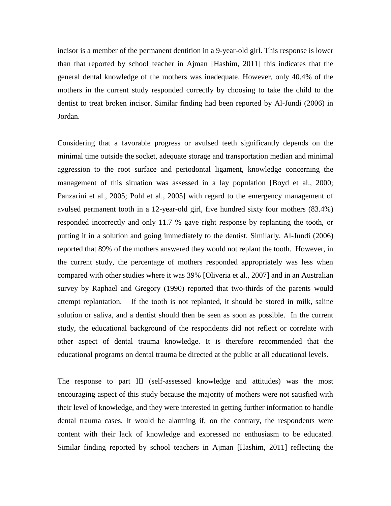incisor is a member of the permanent dentition in a 9-year-old girl. This response is lower than that reported by school teacher in Ajman [Hashim, 2011] this indicates that the general dental knowledge of the mothers was inadequate. However, only 40.4% of the mothers in the current study responded correctly by choosing to take the child to the dentist to treat broken incisor. Similar finding had been reported by Al-Jundi (2006) in Jordan.

Considering that a favorable progress or avulsed teeth significantly depends on the minimal time outside the socket, adequate storage and transportation median and minimal aggression to the root surface and periodontal ligament, knowledge concerning the management of this situation was assessed in a lay population [Boyd et al., 2000; Panzarini et al., 2005; Pohl et al., 2005] with regard to the emergency management of avulsed permanent tooth in a 12-year-old girl, five hundred sixty four mothers (83.4%) responded incorrectly and only 11.7 % gave right response by replanting the tooth, or putting it in a solution and going immediately to the dentist. Similarly, Al-Jundi (2006) reported that 89% of the mothers answered they would not replant the tooth. However, in the current study, the percentage of mothers responded appropriately was less when compared with other studies where it was 39% [Oliveria et al., 2007] and in an Australian survey by Raphael and Gregory (1990) reported that two-thirds of the parents would attempt replantation. If the tooth is not replanted, it should be stored in milk, saline solution or saliva, and a dentist should then be seen as soon as possible. In the current study, the educational background of the respondents did not reflect or correlate with other aspect of dental trauma knowledge. It is therefore recommended that the educational programs on dental trauma be directed at the public at all educational levels.

The response to part III (self-assessed knowledge and attitudes) was the most encouraging aspect of this study because the majority of mothers were not satisfied with their level of knowledge, and they were interested in getting further information to handle dental trauma cases. It would be alarming if, on the contrary, the respondents were content with their lack of knowledge and expressed no enthusiasm to be educated. Similar finding reported by school teachers in Ajman [Hashim, 2011] reflecting the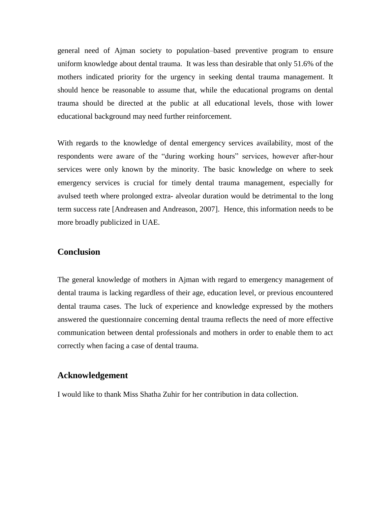general need of Ajman society to population–based preventive program to ensure uniform knowledge about dental trauma. It was less than desirable that only 51.6% of the mothers indicated priority for the urgency in seeking dental trauma management. It should hence be reasonable to assume that, while the educational programs on dental trauma should be directed at the public at all educational levels, those with lower educational background may need further reinforcement.

With regards to the knowledge of dental emergency services availability, most of the respondents were aware of the "during working hours" services, however after-hour services were only known by the minority. The basic knowledge on where to seek emergency services is crucial for timely dental trauma management, especially for avulsed teeth where prolonged extra- alveolar duration would be detrimental to the long term success rate [Andreasen and Andreason, 2007]. Hence, this information needs to be more broadly publicized in UAE.

#### **Conclusion**

The general knowledge of mothers in Ajman with regard to emergency management of dental trauma is lacking regardless of their age, education level, or previous encountered dental trauma cases. The luck of experience and knowledge expressed by the mothers answered the questionnaire concerning dental trauma reflects the need of more effective communication between dental professionals and mothers in order to enable them to act correctly when facing a case of dental trauma.

# **Acknowledgement**

I would like to thank Miss Shatha Zuhir for her contribution in data collection.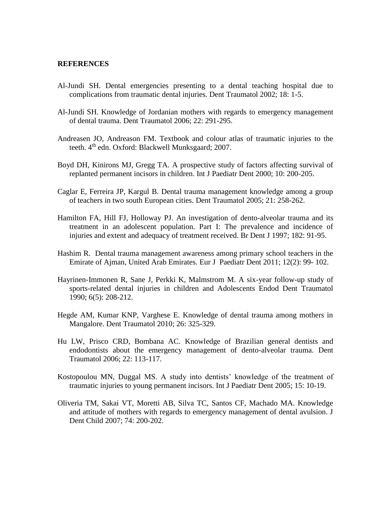#### **REFERENCES**

- Al-Jundi SH. Dental emergencies presenting to a dental teaching hospital due to complications from traumatic dental injuries. Dent Traumatol 2002; 18: 1-5.
- Al-Jundi SH. Knowledge of Jordanian mothers with regards to emergency management of dental trauma. Dent Traumatol 2006; 22: 291-295.
- Andreasen JO, Andreason FM. Textbook and colour atlas of traumatic injuries to the teeth. 4<sup>th</sup> edn. Oxford: Blackwell Munksgaard; 2007.
- Boyd DH, Kinirons MJ, Gregg TA. A prospective study of factors affecting survival of replanted permanent incisors in children. Int J Paediatr Dent 2000; 10: 200-205.
- Caglar E, Ferreira JP, Kargul B. Dental trauma management knowledge among a group of teachers in two south European cities. Dent Traumatol 2005; 21: 258-262.
- Hamilton FA, Hill FJ, Holloway PJ. An investigation of dento-alveolar trauma and its treatment in an adolescent population. Part I: The prevalence and incidence of injuries and extent and adequacy of treatment received. Br Dent J 1997; 182: 91-95.
- Hashim R. Dental trauma management awareness among primary school teachers in the Emirate of Ajman, United Arab Emirates. Eur J Paediatr Dent 2011; 12(2): 99- 102.
- Hayrinen-Immonen R, Sane J, Perkki K, Malmstrom M. A six-year follow-up study of sports-related dental injuries in children and Adolescents Endod Dent Traumatol 1990; 6(5): 208-212.
- Hegde AM, Kumar KNP, Varghese E. Knowledge of dental trauma among mothers in Mangalore. Dent Traumatol 2010; 26: 325-329.
- Hu LW, Prisco CRD, Bombana AC. Knowledge of Brazilian general dentists and endodontists about the emergency management of dento-alveolar trauma. Dent Traumatol 2006; 22: 113-117.
- Kostopoulou MN, Duggal MS. A study into dentists' knowledge of the treatment of traumatic injuries to young permanent incisors. Int J Paediatr Dent 2005; 15: 10-19.
- Oliveria TM, Sakai VT, Moretti AB, Silva TC, Santos CF, Machado MA. Knowledge and attitude of mothers with regards to emergency management of dental avulsion. J Dent Child 2007; 74: 200-202.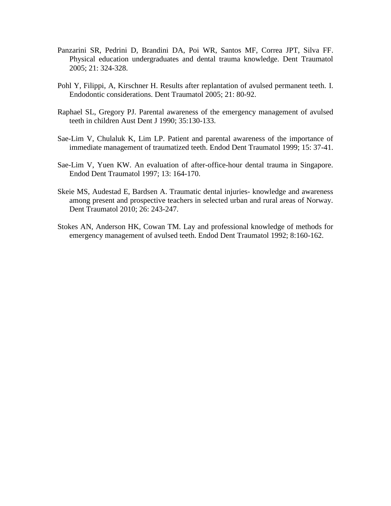- Panzarini SR, Pedrini D, Brandini DA, Poi WR, Santos MF, Correa JPT, Silva FF. Physical education undergraduates and dental trauma knowledge. Dent Traumatol 2005; 21: 324-328.
- Pohl Y, Filippi, A, Kirschner H. Results after replantation of avulsed permanent teeth. I. Endodontic considerations. Dent Traumatol 2005; 21: 80-92.
- Raphael SL, Gregory PJ. Parental awareness of the emergency management of avulsed teeth in children Aust Dent J 1990; 35:130-133.
- Sae-Lim V, Chulaluk K, Lim LP. Patient and parental awareness of the importance of immediate management of traumatized teeth. Endod Dent Traumatol 1999; 15: 37-41.
- Sae-Lim V, Yuen KW. An evaluation of after-office-hour dental trauma in Singapore. Endod Dent Traumatol 1997; 13: 164-170.
- Skeie MS, Audestad E, Bardsen A. Traumatic dental injuries- knowledge and awareness among present and prospective teachers in selected urban and rural areas of Norway. Dent Traumatol 2010; 26: 243-247.
- Stokes AN, Anderson HK, Cowan TM. Lay and professional knowledge of methods for emergency management of avulsed teeth. Endod Dent Traumatol 1992; 8:160-162.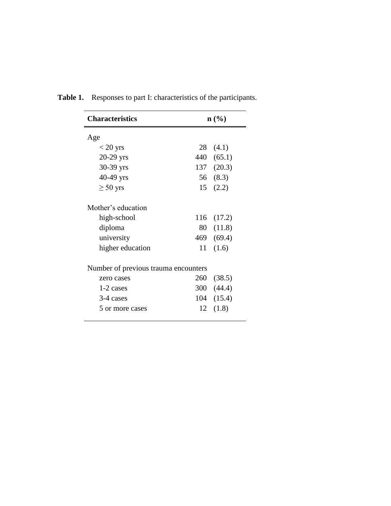| <b>Characteristics</b>               |     | $\mathbf{n}(\%)$ |
|--------------------------------------|-----|------------------|
| Age                                  |     |                  |
| $< 20$ yrs                           |     | 28(4.1)          |
| $20-29$ yrs                          |     | 440 (65.1)       |
| 30-39 yrs                            |     | 137 (20.3)       |
| 40-49 yrs                            |     | 56 (8.3)         |
| $\geq 50$ yrs                        |     | 15(2.2)          |
| Mother's education                   |     |                  |
| high-school                          |     | 116 (17.2)       |
| diploma                              |     | 80 (11.8)        |
| university                           |     | 469 (69.4)       |
| higher education                     | 11  | (1.6)            |
| Number of previous trauma encounters |     |                  |
| zero cases                           | 260 | (38.5)           |
| 1-2 cases                            |     | 300 (44.4)       |
| 3-4 cases                            |     | 104 (15.4)       |
| 5 or more cases                      | 12  | (1.8)            |

**Table 1.** Responses to part I: characteristics of the participants.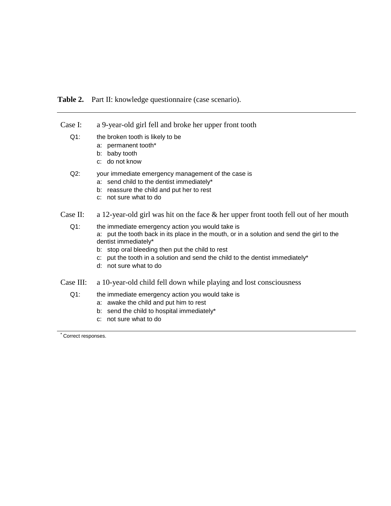#### **Table 2.** Part II: knowledge questionnaire (case scenario).

- Case I: a 9-year-old girl fell and broke her upper front tooth Q1: the broken tooth is likely to be
	- a: permanent tooth\*
	- b: baby tooth
	- c: do not know
	- Q2: your immediate emergency management of the case is
		- a: send child to the dentist immediately\*
		- b: reassure the child and put her to rest
		- c: not sure what to do
- Case II: a 12-year-old girl was hit on the face & her upper front tooth fell out of her mouth
	- Q1: the immediate emergency action you would take is a: put the tooth back in its place in the mouth, or in a solution and send the girl to the dentist immediately\*
		- b: stop oral bleeding then put the child to rest
		- c: put the tooth in a solution and send the child to the dentist immediately\*
		- d: not sure what to do
- Case III: a 10-year-old child fell down while playing and lost consciousness
	- Q1: the immediate emergency action you would take is
		- a: awake the child and put him to rest
		- b: send the child to hospital immediately\*
			- c: not sure what to do

Correct responses.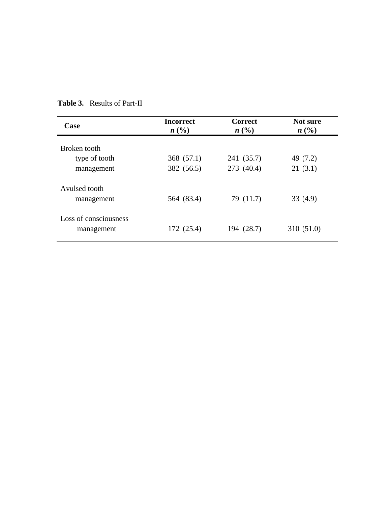| Case                                        | <b>Incorrect</b><br>n(%) | <b>Correct</b><br>$n\left(\frac{0}{0}\right)$ | Not sure<br>$n\left(\frac{0}{0}\right)$ |
|---------------------------------------------|--------------------------|-----------------------------------------------|-----------------------------------------|
| Broken tooth<br>type of tooth<br>management | 368 (57.1)<br>382 (56.5) | 241 (35.7)<br>273 (40.4)                      | 49 (7.2)<br>21(3.1)                     |
| Avulsed tooth<br>management                 | 564 (83.4)               | 79 (11.7)                                     | 33(4.9)                                 |
| Loss of consciousness<br>management         | 172 (25.4)               | 194 (28.7)                                    | 310 (51.0)                              |

# **Table 3.** Results of Part-II